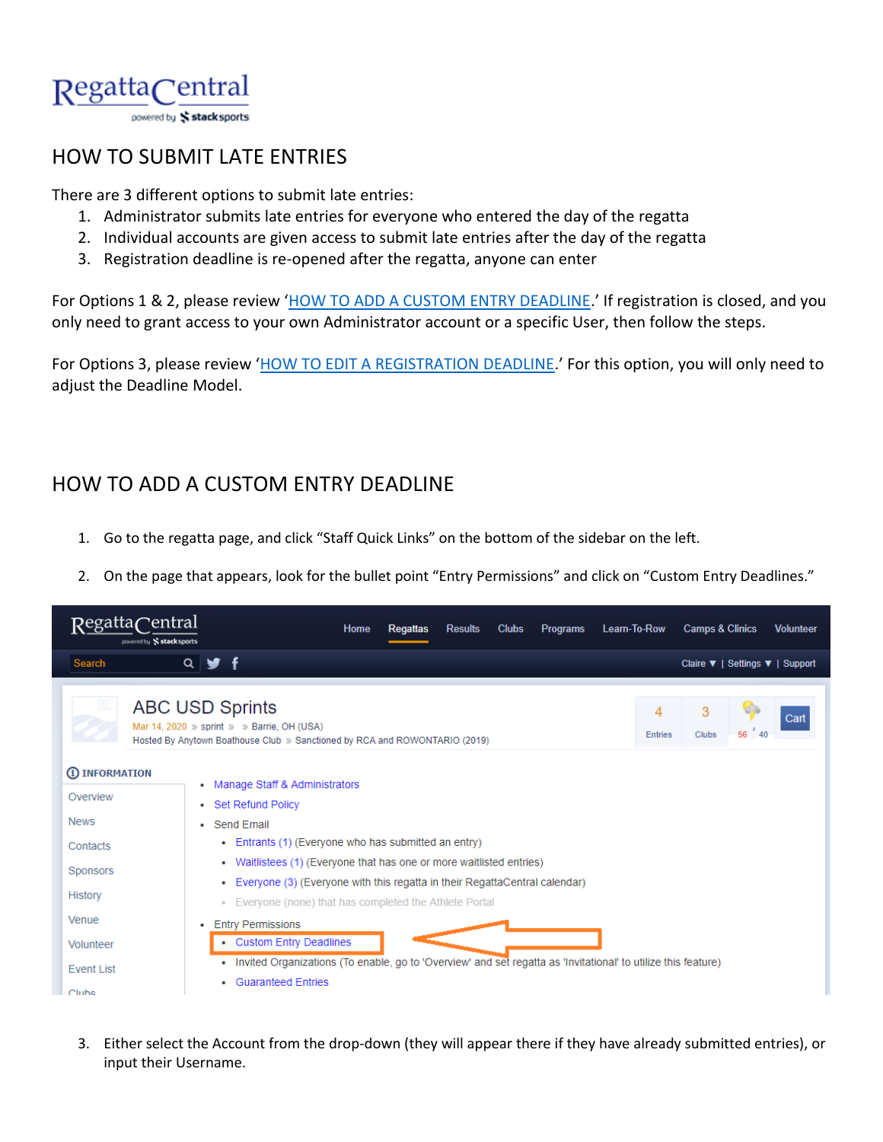

## HOW TO SUBMIT LATE ENTRIES

There are 3 different options to submit late entries:

- 1. Administrator submits late entries for everyone who entered the day of the regatta
- 2. Individual accounts are given access to submit late entries after the day of the regatta
- 3. Registration deadline is re-opened after the regatta, anyone can enter

For Options 1 & 2, please review '[HOW TO ADD A CUSTOM ENTRY DEADLINE](#page-0-0).' If registration is closed, and you only need to grant access to your own Administrator account or a specific User, then follow the steps.

For Options 3, please review '[HOW TO EDIT A REGISTRATION DEADLINE](#page-3-0).' For this option, you will only need to adjust the Deadline Model.

## <span id="page-0-0"></span>HOW TO ADD A CUSTOM ENTRY DEADLINE

- 1. Go to the regatta page, and click "Staff Quick Links" on the bottom of the sidebar on the left.
- 2. On the page that appears, look for the bullet point "Entry Permissions" and click on "Custom Entry Deadlines."



3. Either select the Account from the drop-down (they will appear there if they have already submitted entries), or input their Username.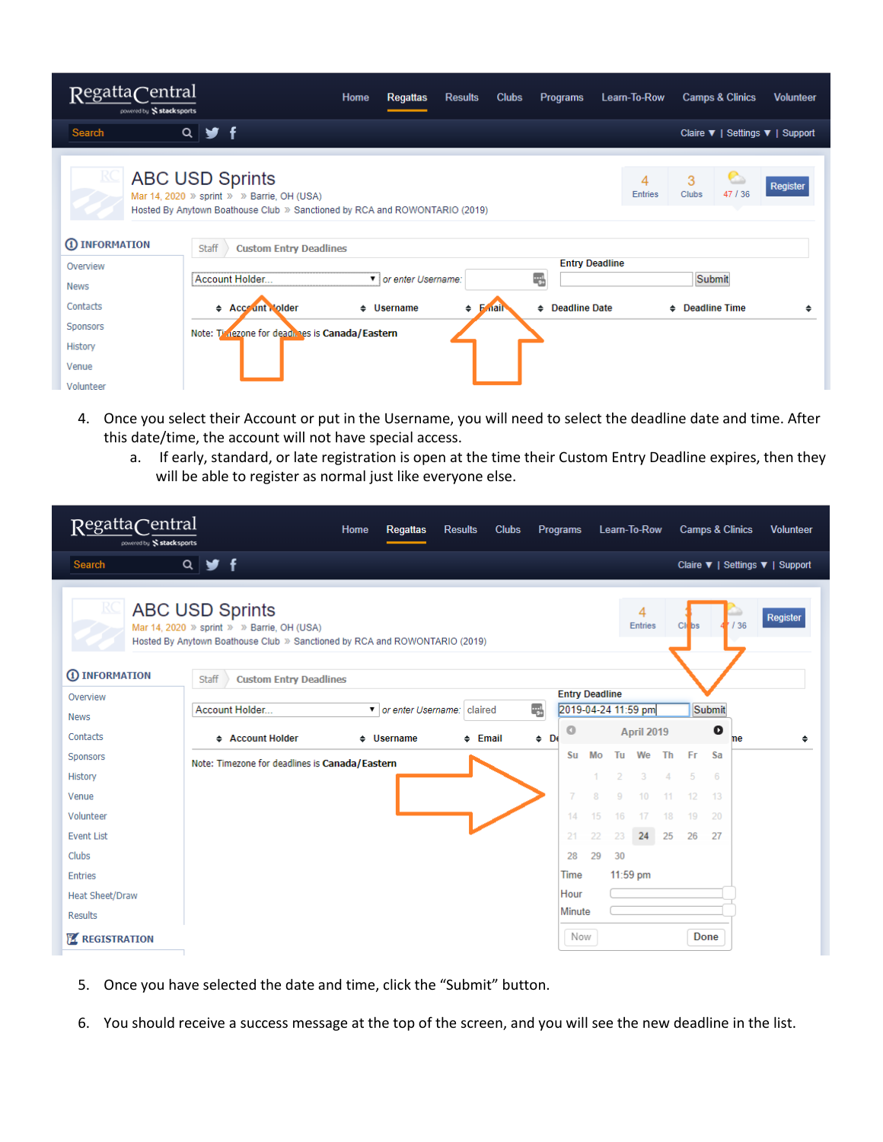| RegattaCentral<br>powered by Stacksports |                                                                                                                                                    | Home            | <b>Regattas</b>      | <b>Results</b>                   | <b>Clubs</b> | <b>Programs</b>       | Learn-To-Row        | <b>Camps &amp; Clinics</b>      | <b>Volunteer</b> |
|------------------------------------------|----------------------------------------------------------------------------------------------------------------------------------------------------|-----------------|----------------------|----------------------------------|--------------|-----------------------|---------------------|---------------------------------|------------------|
| Search                                   | $\begin{array}{c} \mathbf{A} \\ \mathbf{B} \end{array}$<br>$\mathbf{f}$                                                                            |                 |                      |                                  |              |                       |                     | Claire ▼   Settings ▼   Support |                  |
| R                                        | <b>ABC USD Sprints</b><br>Mar 14, 2020 » sprint » » Barrie, OH (USA)<br>Hosted By Anytown Boathouse Club » Sanctioned by RCA and ROWONTARIO (2019) |                 |                      |                                  |              |                       | 4<br><b>Entries</b> | 3<br>47 / 36<br>Clubs           | Register         |
| 1 INFORMATION                            | <b>Staff</b><br><b>Custom Entry Deadlines</b>                                                                                                      |                 |                      |                                  |              |                       |                     |                                 |                  |
| Overview                                 |                                                                                                                                                    |                 |                      |                                  |              | <b>Entry Deadline</b> |                     |                                 |                  |
| News                                     | Account Holder                                                                                                                                     |                 | vior enter Username: |                                  |              | Ę.                    |                     | Submit                          |                  |
| Contacts                                 | <b>← Acceunt Molder</b>                                                                                                                            | $\div$ Username |                      | $\div$ <b>F</b> <sub>ntail</sub> |              | ♦ Deadline Date       |                     | $\div$ Deadline Time            |                  |
| Sponsors                                 | Note: Timezone for dead nes is Canada/Eastern                                                                                                      |                 |                      |                                  |              |                       |                     |                                 |                  |
| <b>History</b>                           |                                                                                                                                                    |                 |                      |                                  |              |                       |                     |                                 |                  |
| Venue                                    |                                                                                                                                                    |                 |                      |                                  |              |                       |                     |                                 |                  |
| Volunteer                                |                                                                                                                                                    |                 |                      |                                  |              |                       |                     |                                 |                  |

- 4. Once you select their Account or put in the Username, you will need to select the deadline date and time. After this date/time, the account will not have special access.
	- a. If early, standard, or late registration is open at the time their Custom Entry Deadline expires, then they will be able to register as normal just like everyone else.

| RegattaCentral<br>powered by Stacksports |                                                                                                                                                    | Home | <b>Regattas</b>              | <b>Results</b> | <b>Clubs</b> |            | Programs              |    |               | Learn-To-Row        |    |        | <b>Camps &amp; Clinics</b> |     | <b>Volunteer</b>                |   |
|------------------------------------------|----------------------------------------------------------------------------------------------------------------------------------------------------|------|------------------------------|----------------|--------------|------------|-----------------------|----|---------------|---------------------|----|--------|----------------------------|-----|---------------------------------|---|
| Search                                   | $Q \times f$                                                                                                                                       |      |                              |                |              |            |                       |    |               |                     |    |        |                            |     | Claire ▼   Settings ▼   Support |   |
| RC                                       | <b>ABC USD Sprints</b><br>Mar 14, 2020 » sprint » » Barrie, OH (USA)<br>Hosted By Anytown Boathouse Club » Sanctioned by RCA and ROWONTARIO (2019) |      |                              |                |              |            |                       |    |               | 4<br><b>Entries</b> |    | Cli bs |                            | /36 | Register                        |   |
| 1 INFORMATION                            | Staff<br><b>Custom Entry Deadlines</b>                                                                                                             |      |                              |                |              |            |                       |    |               |                     |    |        |                            |     |                                 |   |
| Overview                                 |                                                                                                                                                    |      |                              |                |              |            | <b>Entry Deadline</b> |    |               |                     |    |        |                            |     |                                 |   |
| <b>News</b>                              | Account Holder                                                                                                                                     |      | v or enter Username: claired |                |              | ا پر<br>دو | 2019-04-24 11:59 pm   |    |               |                     |    |        | Submit                     |     |                                 |   |
| Contacts                                 | ♦ Account Holder                                                                                                                                   |      | $\div$ Username              | $\div$ Email   |              | $\div$ De  | o                     |    |               | April 2019          |    |        | o                          | ne  |                                 | ٠ |
| Sponsors                                 | Note: Timezone for deadlines is Canada/Eastern                                                                                                     |      |                              |                |              |            | <b>Su</b>             | Mo | Tu            | We                  | Th | Fr     | Sa                         |     |                                 |   |
| History                                  |                                                                                                                                                    |      |                              |                |              |            |                       |    | $\mathcal{P}$ | 3.                  | 4  | 5      | 6                          |     |                                 |   |
| Venue                                    |                                                                                                                                                    |      |                              |                |              |            |                       | 8  | q             | 10                  |    | 12     | 13                         |     |                                 |   |
| Volunteer                                |                                                                                                                                                    |      |                              |                |              |            | 14                    | 15 | 16            | 17                  | 18 | 19     | 20                         |     |                                 |   |
| <b>Event List</b>                        |                                                                                                                                                    |      |                              |                |              |            | 21                    | 22 | 23            | 24                  | 25 | 26     | 27                         |     |                                 |   |
| <b>Clubs</b>                             |                                                                                                                                                    |      |                              |                |              |            | 28                    | 29 | 30            |                     |    |        |                            |     |                                 |   |
| <b>Entries</b>                           |                                                                                                                                                    |      |                              |                |              |            | Time                  |    | $11:59$ pm    |                     |    |        |                            |     |                                 |   |
| <b>Heat Sheet/Draw</b>                   |                                                                                                                                                    |      |                              |                |              |            | Hour                  |    |               |                     |    |        |                            |     |                                 |   |
| <b>Results</b>                           |                                                                                                                                                    |      |                              |                |              |            | Minute                |    |               |                     |    |        |                            |     |                                 |   |
| <b>Z</b> REGISTRATION                    |                                                                                                                                                    |      |                              |                |              |            | Now                   |    |               |                     |    |        | <b>Done</b>                |     |                                 |   |

- 5. Once you have selected the date and time, click the "Submit" button.
- 6. You should receive a success message at the top of the screen, and you will see the new deadline in the list.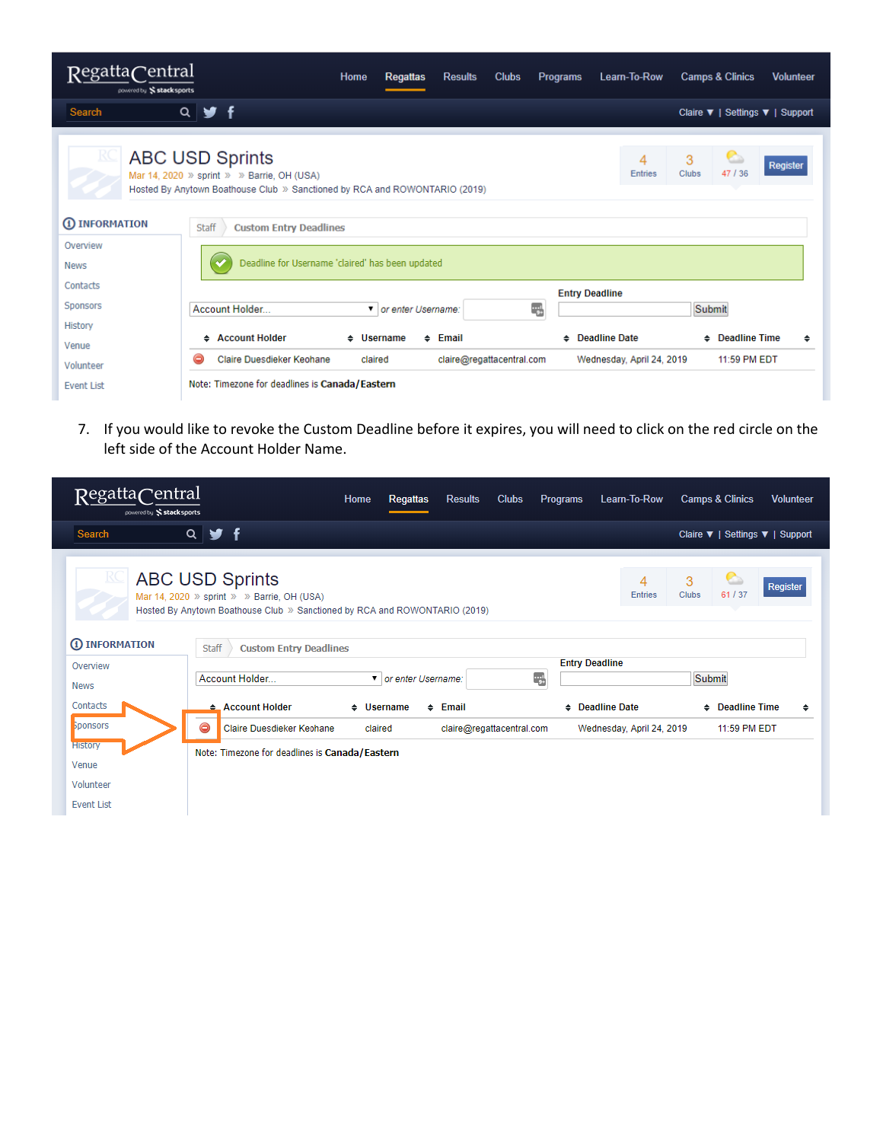| RegattaCentral<br>powered by Stacksports | Home<br><b>Results</b><br><b>Clubs</b><br><b>Camps &amp; Clinics</b><br><b>Regattas</b><br><b>Programs</b><br>Learn-To-Row<br><b>Volunteer</b>                                                               |
|------------------------------------------|--------------------------------------------------------------------------------------------------------------------------------------------------------------------------------------------------------------|
| Search                                   | 9f<br>$Q \mid$<br>Claire ▼   Settings ▼   Support                                                                                                                                                            |
|                                          | <b>ABC USD Sprints</b><br>3<br>4<br>Register<br>47/36<br>Clubs<br><b>Entries</b><br>Mar 14, 2020 » sprint » » Barrie, OH (USA)<br>Hosted By Anytown Boathouse Club » Sanctioned by RCA and ROWONTARIO (2019) |
| <b>1</b> INFORMATION                     | <b>Staff</b><br><b>Custom Entry Deadlines</b>                                                                                                                                                                |
| Overview<br><b>News</b>                  | Deadline for Username 'claired' has been updated                                                                                                                                                             |
| Contacts                                 | <b>Entry Deadline</b>                                                                                                                                                                                        |
| Sponsors                                 | أببته<br>Account Holder<br>Submit<br>▼ or enter Username:                                                                                                                                                    |
| History                                  | ← Account Holder<br><b>Deadline Date</b><br><b>Deadline Time</b><br>$\div$ Username<br>$\div$ Email<br>٠<br>٠<br>٠                                                                                           |
| Venue<br>Volunteer                       | Claire Duesdieker Keohane<br>claire@regattacentral.com<br>11:59 PM EDT<br>claired<br>Wednesday, April 24, 2019<br>G                                                                                          |
| <b>Event List</b>                        | Note: Timezone for deadlines is Canada/Eastern                                                                                                                                                               |

7. If you would like to revoke the Custom Deadline before it expires, you will need to click on the red circle on the left side of the Account Holder Name.

| RegattaCentral<br>powered by Stacksports | Home                                                                                                                     | <b>Regattas</b>                   | <b>Results</b>            | <b>Clubs</b> | <b>Programs</b>             | Learn-To-Row              | <b>Camps &amp; Clinics</b>      | <b>Volunteer</b> |
|------------------------------------------|--------------------------------------------------------------------------------------------------------------------------|-----------------------------------|---------------------------|--------------|-----------------------------|---------------------------|---------------------------------|------------------|
| Search                                   | $Q \times f$                                                                                                             |                                   |                           |              |                             |                           | Claire ▼   Settings ▼   Support |                  |
| RQ<br><b>ABC USD Sprints</b>             | Mar 14, 2020 » sprint » » Barrie, OH (USA)<br>Hosted By Anytown Boathouse Club » Sanctioned by RCA and ROWONTARIO (2019) |                                   |                           |              |                             | 4<br><b>Entries</b>       | G<br>3<br>61 / 37<br>Clubs      | Register         |
| 1 INFORMATION                            | <b>Staff</b><br><b>Custom Entry Deadlines</b>                                                                            |                                   |                           |              |                             |                           |                                 |                  |
| Overview<br><b>News</b>                  | Account Holder                                                                                                           | $\blacksquare$ or enter Username: |                           |              | <b>Entry Deadline</b><br>Ę. |                           | Submit                          |                  |
| Contacts                                 | $\triangle$ Account Holder                                                                                               | $\div$ Username                   | $\div$ Email              |              |                             | $\div$ Deadline Date      | $\div$ Deadline Time            | ٠                |
| <b>Sponsors</b><br>⊝                     | Claire Duesdieker Keohane                                                                                                | claired                           | claire@regattacentral.com |              |                             | Wednesday, April 24, 2019 | 11:59 PM EDT                    |                  |
| <b>History</b>                           | Note: Timezone for deadlines is Canada/Eastern                                                                           |                                   |                           |              |                             |                           |                                 |                  |
| Venue                                    |                                                                                                                          |                                   |                           |              |                             |                           |                                 |                  |
| Volunteer                                |                                                                                                                          |                                   |                           |              |                             |                           |                                 |                  |
| <b>Event List</b>                        |                                                                                                                          |                                   |                           |              |                             |                           |                                 |                  |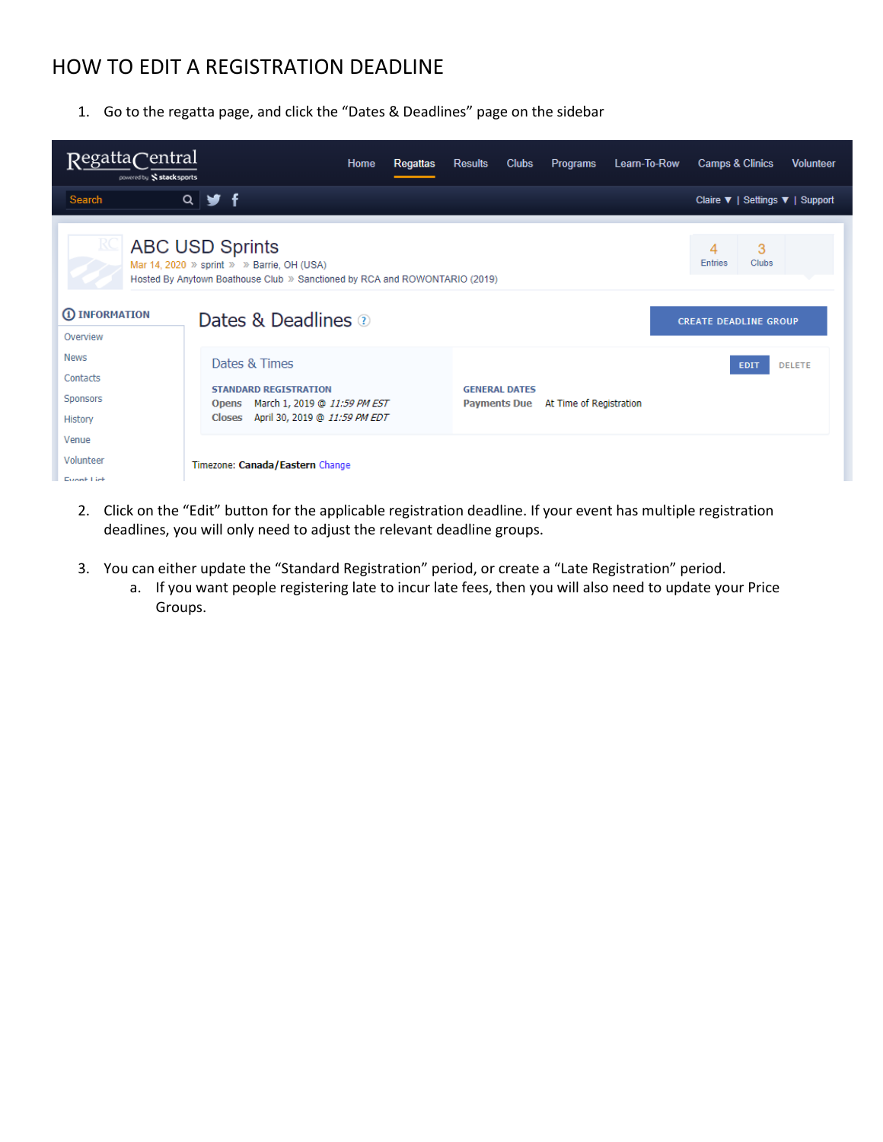## <span id="page-3-0"></span>HOW TO EDIT A REGISTRATION DEADLINE

1. Go to the regatta page, and click the "Dates & Deadlines" page on the sidebar

| RegattaCentral<br>powered by Stacksports       |                                                                                                                                                    | Home | <b>Regattas</b> | <b>Results</b>                              | <b>Clubs</b> | <b>Programs</b>         | Learn-To-Row | <b>Camps &amp; Clinics</b>   |             | <b>Volunteer</b>                |
|------------------------------------------------|----------------------------------------------------------------------------------------------------------------------------------------------------|------|-----------------|---------------------------------------------|--------------|-------------------------|--------------|------------------------------|-------------|---------------------------------|
| Search                                         | $Q \times f$                                                                                                                                       |      |                 |                                             |              |                         |              |                              |             | Claire ▼   Settings ▼   Support |
|                                                | <b>ABC USD Sprints</b><br>Mar 14, 2020 » sprint » » Barrie, OH (USA)<br>Hosted By Anytown Boathouse Club » Sanctioned by RCA and ROWONTARIO (2019) |      |                 |                                             |              |                         |              | 4<br><b>Entries</b>          | 3<br>Clubs  |                                 |
| 1 <b>INFORMATION</b><br>Overview               | Dates & Deadlines 2                                                                                                                                |      |                 |                                             |              |                         |              | <b>CREATE DEADLINE GROUP</b> |             |                                 |
| <b>News</b><br>Contacts<br>Sponsors<br>History | Dates & Times<br><b>STANDARD REGISTRATION</b><br>March 1, 2019 @ 11:59 PM EST<br><b>Opens</b><br>April 30, 2019 @ 11:59 PM EDT<br><b>Closes</b>    |      |                 | <b>GENERAL DATES</b><br><b>Payments Due</b> |              | At Time of Registration |              |                              | <b>EDIT</b> | <b>DELETE</b>                   |
| Venue<br>Volunteer<br>Evant Liet               | Timezone: Canada/Eastern Change                                                                                                                    |      |                 |                                             |              |                         |              |                              |             |                                 |

- 2. Click on the "Edit" button for the applicable registration deadline. If your event has multiple registration deadlines, you will only need to adjust the relevant deadline groups.
- 3. You can either update the "Standard Registration" period, or create a "Late Registration" period.
	- a. If you want people registering late to incur late fees, then you will also need to update your Price Groups.